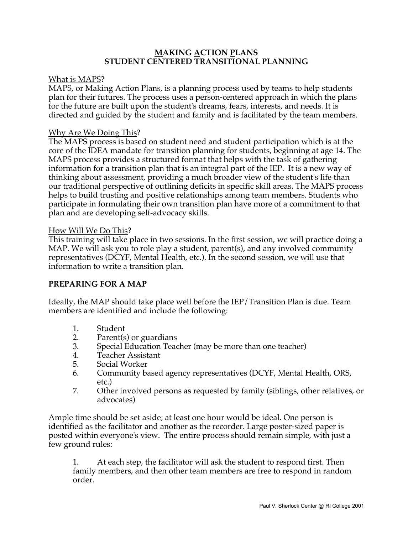### **MAKING ACTION PLANS STUDENT CENTERED TRANSITIONAL PLANNING**

### What is MAPS?

MAPS, or Making Action Plans, is a planning process used by teams to help students plan for their futures. The process uses a person-centered approach in which the plans for the future are built upon the student's dreams, fears, interests, and needs. It is directed and guided by the student and family and is facilitated by the team members.

### Why Are We Doing This?

The MAPS process is based on student need and student participation which is at the core of the IDEA mandate for transition planning for students, beginning at age 14. The MAPS process provides a structured format that helps with the task of gathering information for a transition plan that is an integral part of the IEP. It is a new way of thinking about assessment, providing a much broader view of the student's life than our traditional perspective of outlining deficits in specific skill areas. The MAPS process helps to build trusting and positive relationships among team members. Students who participate in formulating their own transition plan have more of a commitment to that plan and are developing self-advocacy skills.

#### How Will We Do This?

This training will take place in two sessions. In the first session, we will practice doing a MAP. We will ask you to role play a student, parent(s), and any involved community representatives (DCYF, Mental Health, etc.). In the second session, we will use that information to write a transition plan.

## **PREPARING FOR A MAP**

Ideally, the MAP should take place well before the IEP/Transition Plan is due. Team members are identified and include the following:

- 1. Student
- 2. Parent(s) or guardians
- 3. Special Education Teacher (may be more than one teacher)
- 4. Teacher Assistant
- 5. Social Worker
- 6. Community based agency representatives (DCYF, Mental Health, ORS, etc.)
- 7. Other involved persons as requested by family (siblings, other relatives, or advocates)

Ample time should be set aside; at least one hour would be ideal. One person is identified as the facilitator and another as the recorder. Large poster-sized paper is posted within everyone's view. The entire process should remain simple, with just a few ground rules:

1. At each step, the facilitator will ask the student to respond first. Then family members, and then other team members are free to respond in random order.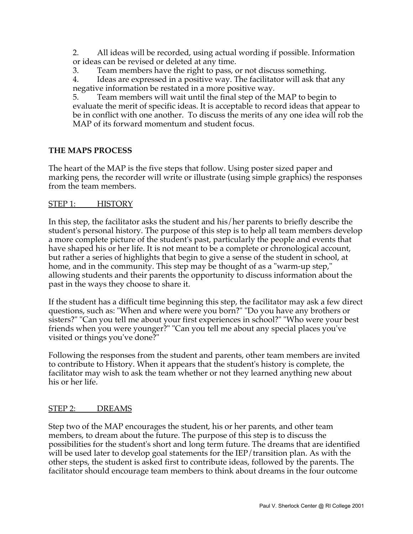2. All ideas will be recorded, using actual wording if possible. Information or ideas can be revised or deleted at any time.

3. Team members have the right to pass, or not discuss something.

4. Ideas are expressed in a positive way. The facilitator will ask that any negative information be restated in a more positive way.

5. Team members will wait until the final step of the MAP to begin to evaluate the merit of specific ideas. It is acceptable to record ideas that appear to be in conflict with one another. To discuss the merits of any one idea will rob the MAP of its forward momentum and student focus.

## **THE MAPS PROCESS**

The heart of the MAP is the five steps that follow. Using poster sized paper and marking pens, the recorder will write or illustrate (using simple graphics) the responses from the team members.

## STEP 1: HISTORY

In this step, the facilitator asks the student and his/her parents to briefly describe the student's personal history. The purpose of this step is to help all team members develop a more complete picture of the student's past, particularly the people and events that have shaped his or her life. It is not meant to be a complete or chronological account, but rather a series of highlights that begin to give a sense of the student in school, at home, and in the community. This step may be thought of as a "warm-up step," allowing students and their parents the opportunity to discuss information about the past in the ways they choose to share it.

If the student has a difficult time beginning this step, the facilitator may ask a few direct questions, such as: "When and where were you born?" "Do you have any brothers or sisters?" "Can you tell me about your first experiences in school?" "Who were your best friends when you were younger?" "Can you tell me about any special places you've visited or things you've done?"

Following the responses from the student and parents, other team members are invited to contribute to History. When it appears that the student's history is complete, the facilitator may wish to ask the team whether or not they learned anything new about his or her life.

## STEP 2: DREAMS

Step two of the MAP encourages the student, his or her parents, and other team members, to dream about the future. The purpose of this step is to discuss the possibilities for the student's short and long term future. The dreams that are identified will be used later to develop goal statements for the IEP/transition plan. As with the other steps, the student is asked first to contribute ideas, followed by the parents. The facilitator should encourage team members to think about dreams in the four outcome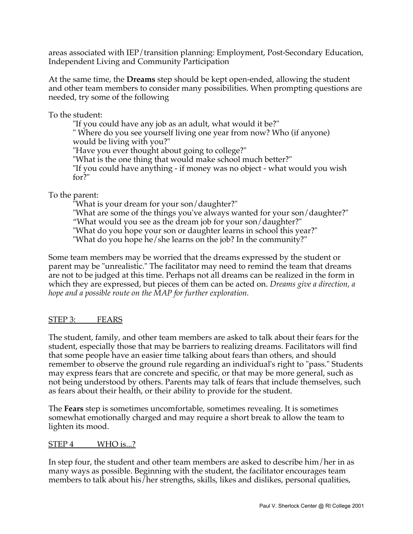areas associated with IEP/transition planning: Employment, Post-Secondary Education, Independent Living and Community Participation

At the same time, the **Dreams** step should be kept open-ended, allowing the student and other team members to consider many possibilities. When prompting questions are needed, try some of the following

To the student:

"If you could have any job as an adult, what would it be?" " Where do you see yourself living one year from now? Who (if anyone) would be living with you?" "Have you ever thought about going to college?" "What is the one thing that would make school much better?" "If you could have anything - if money was no object - what would you wish for?"

To the parent:

"What is your dream for your son/daughter?" "What are some of the things you've always wanted for your son/daughter?" "What would you see as the dream job for your son/daughter?" "What do you hope your son or daughter learns in school this year?" "What do you hope he/she learns on the job? In the community?"

Some team members may be worried that the dreams expressed by the student or parent may be "unrealistic." The facilitator may need to remind the team that dreams are not to be judged at this time. Perhaps not all dreams can be realized in the form in which they are expressed, but pieces of them can be acted on. *Dreams give a direction, a hope and a possible route on the MAP for further exploration.*

# STEP 3: FEARS

The student, family, and other team members are asked to talk about their fears for the student, especially those that may be barriers to realizing dreams. Facilitators will find that some people have an easier time talking about fears than others, and should remember to observe the ground rule regarding an individual's right to "pass." Students may express fears that are concrete and specific, or that may be more general, such as not being understood by others. Parents may talk of fears that include themselves, such as fears about their health, or their ability to provide for the student.

The **Fears** step is sometimes uncomfortable, sometimes revealing. It is sometimes somewhat emotionally charged and may require a short break to allow the team to lighten its mood.

## STEP 4 WHO is...?

In step four, the student and other team members are asked to describe him/her in as many ways as possible. Beginning with the student, the facilitator encourages team members to talk about his/her strengths, skills, likes and dislikes, personal qualities,